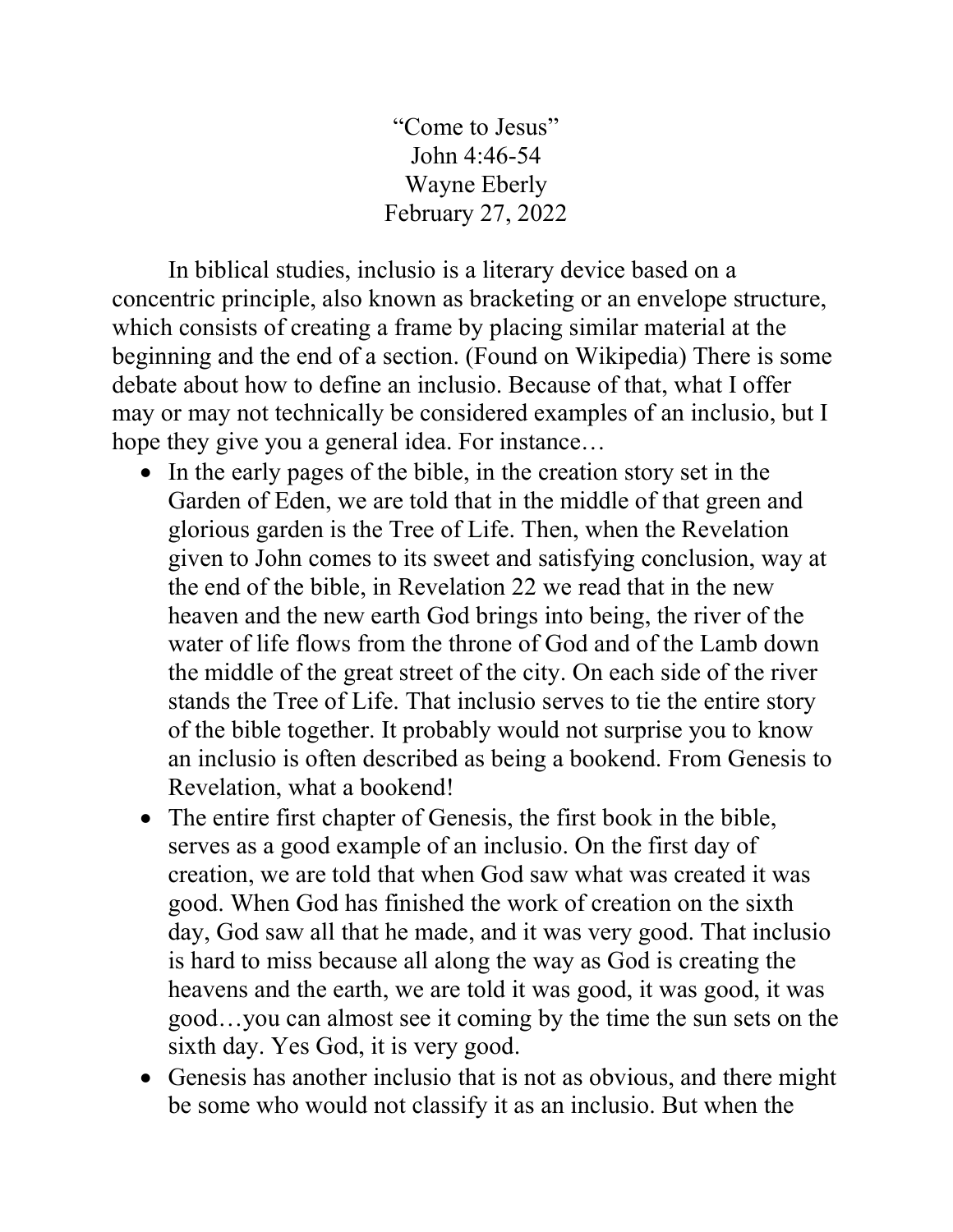"Come to Jesus" John 4:46-54 Wayne Eberly February 27, 2022

 In biblical studies, inclusio is a literary device based on a concentric principle, also known as bracketing or an envelope structure, which consists of creating a frame by placing similar material at the beginning and the end of a section. (Found on Wikipedia) There is some debate about how to define an inclusio. Because of that, what I offer may or may not technically be considered examples of an inclusio, but I hope they give you a general idea. For instance…

- In the early pages of the bible, in the creation story set in the Garden of Eden, we are told that in the middle of that green and glorious garden is the Tree of Life. Then, when the Revelation given to John comes to its sweet and satisfying conclusion, way at the end of the bible, in Revelation 22 we read that in the new heaven and the new earth God brings into being, the river of the water of life flows from the throne of God and of the Lamb down the middle of the great street of the city. On each side of the river stands the Tree of Life. That inclusio serves to tie the entire story of the bible together. It probably would not surprise you to know an inclusio is often described as being a bookend. From Genesis to Revelation, what a bookend!
- The entire first chapter of Genesis, the first book in the bible, serves as a good example of an inclusio. On the first day of creation, we are told that when God saw what was created it was good. When God has finished the work of creation on the sixth day, God saw all that he made, and it was very good. That inclusio is hard to miss because all along the way as God is creating the heavens and the earth, we are told it was good, it was good, it was good…you can almost see it coming by the time the sun sets on the sixth day. Yes God, it is very good.
- Genesis has another inclusio that is not as obvious, and there might be some who would not classify it as an inclusio. But when the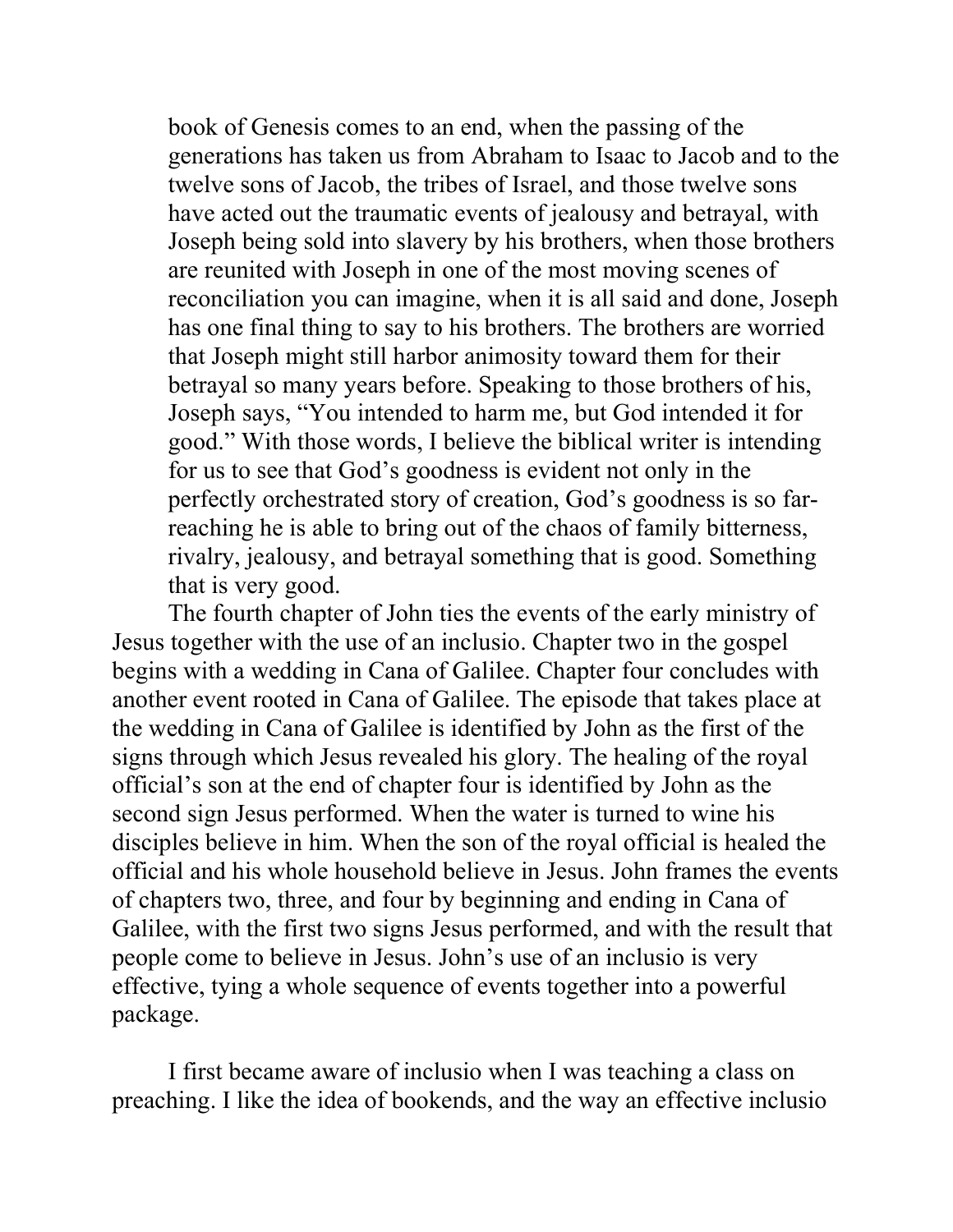book of Genesis comes to an end, when the passing of the generations has taken us from Abraham to Isaac to Jacob and to the twelve sons of Jacob, the tribes of Israel, and those twelve sons have acted out the traumatic events of jealousy and betrayal, with Joseph being sold into slavery by his brothers, when those brothers are reunited with Joseph in one of the most moving scenes of reconciliation you can imagine, when it is all said and done, Joseph has one final thing to say to his brothers. The brothers are worried that Joseph might still harbor animosity toward them for their betrayal so many years before. Speaking to those brothers of his, Joseph says, "You intended to harm me, but God intended it for good." With those words, I believe the biblical writer is intending for us to see that God's goodness is evident not only in the perfectly orchestrated story of creation, God's goodness is so farreaching he is able to bring out of the chaos of family bitterness, rivalry, jealousy, and betrayal something that is good. Something that is very good.

The fourth chapter of John ties the events of the early ministry of Jesus together with the use of an inclusio. Chapter two in the gospel begins with a wedding in Cana of Galilee. Chapter four concludes with another event rooted in Cana of Galilee. The episode that takes place at the wedding in Cana of Galilee is identified by John as the first of the signs through which Jesus revealed his glory. The healing of the royal official's son at the end of chapter four is identified by John as the second sign Jesus performed. When the water is turned to wine his disciples believe in him. When the son of the royal official is healed the official and his whole household believe in Jesus. John frames the events of chapters two, three, and four by beginning and ending in Cana of Galilee, with the first two signs Jesus performed, and with the result that people come to believe in Jesus. John's use of an inclusio is very effective, tying a whole sequence of events together into a powerful package.

I first became aware of inclusio when I was teaching a class on preaching. I like the idea of bookends, and the way an effective inclusio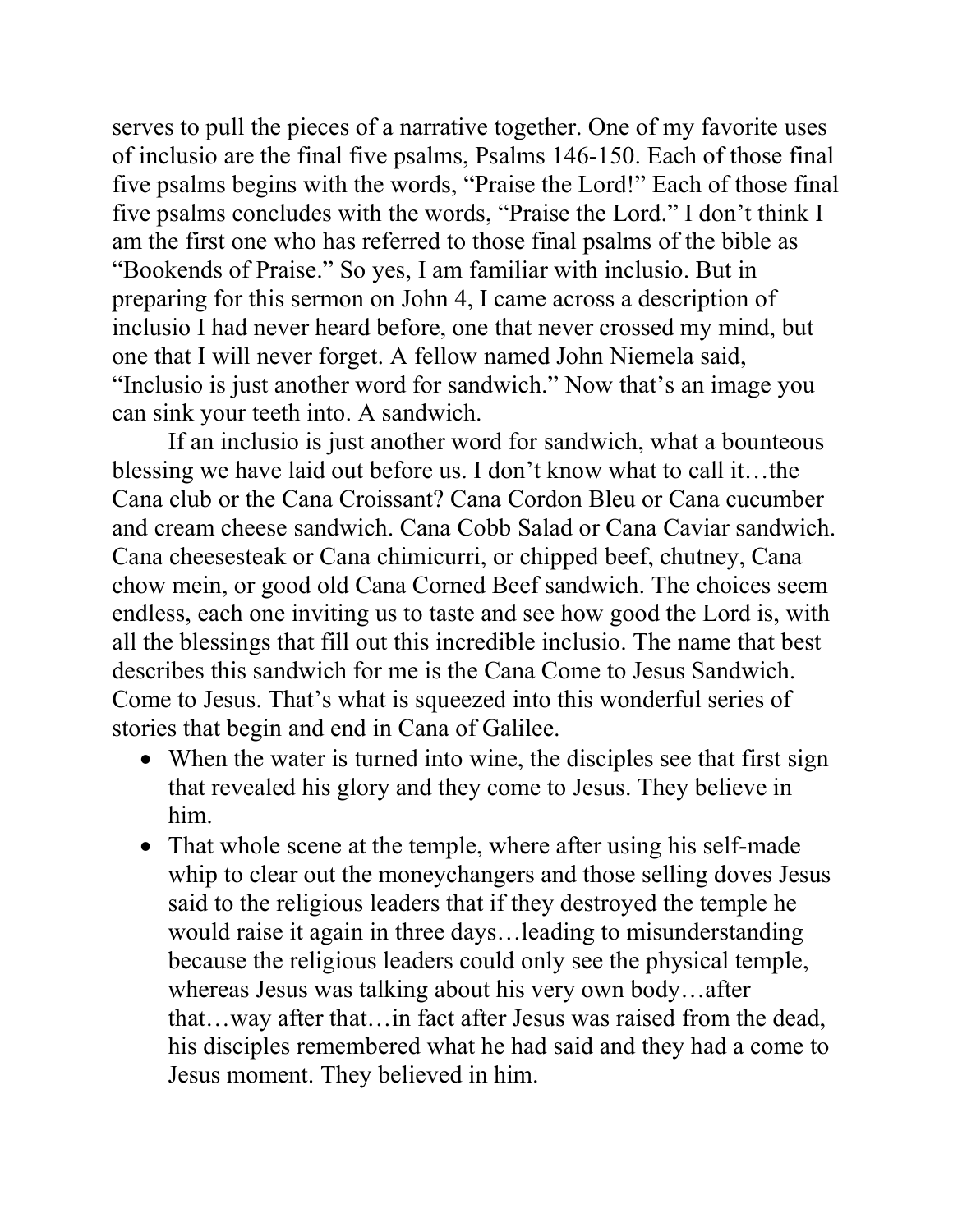serves to pull the pieces of a narrative together. One of my favorite uses of inclusio are the final five psalms, Psalms 146-150. Each of those final five psalms begins with the words, "Praise the Lord!" Each of those final five psalms concludes with the words, "Praise the Lord." I don't think I am the first one who has referred to those final psalms of the bible as "Bookends of Praise." So yes, I am familiar with inclusio. But in preparing for this sermon on John 4, I came across a description of inclusio I had never heard before, one that never crossed my mind, but one that I will never forget. A fellow named John Niemela said, "Inclusio is just another word for sandwich." Now that's an image you can sink your teeth into. A sandwich.

If an inclusio is just another word for sandwich, what a bounteous blessing we have laid out before us. I don't know what to call it…the Cana club or the Cana Croissant? Cana Cordon Bleu or Cana cucumber and cream cheese sandwich. Cana Cobb Salad or Cana Caviar sandwich. Cana cheesesteak or Cana chimicurri, or chipped beef, chutney, Cana chow mein, or good old Cana Corned Beef sandwich. The choices seem endless, each one inviting us to taste and see how good the Lord is, with all the blessings that fill out this incredible inclusio. The name that best describes this sandwich for me is the Cana Come to Jesus Sandwich. Come to Jesus. That's what is squeezed into this wonderful series of stories that begin and end in Cana of Galilee.

- When the water is turned into wine, the disciples see that first sign that revealed his glory and they come to Jesus. They believe in him.
- That whole scene at the temple, where after using his self-made whip to clear out the moneychangers and those selling doves Jesus said to the religious leaders that if they destroyed the temple he would raise it again in three days…leading to misunderstanding because the religious leaders could only see the physical temple, whereas Jesus was talking about his very own body…after that…way after that…in fact after Jesus was raised from the dead, his disciples remembered what he had said and they had a come to Jesus moment. They believed in him.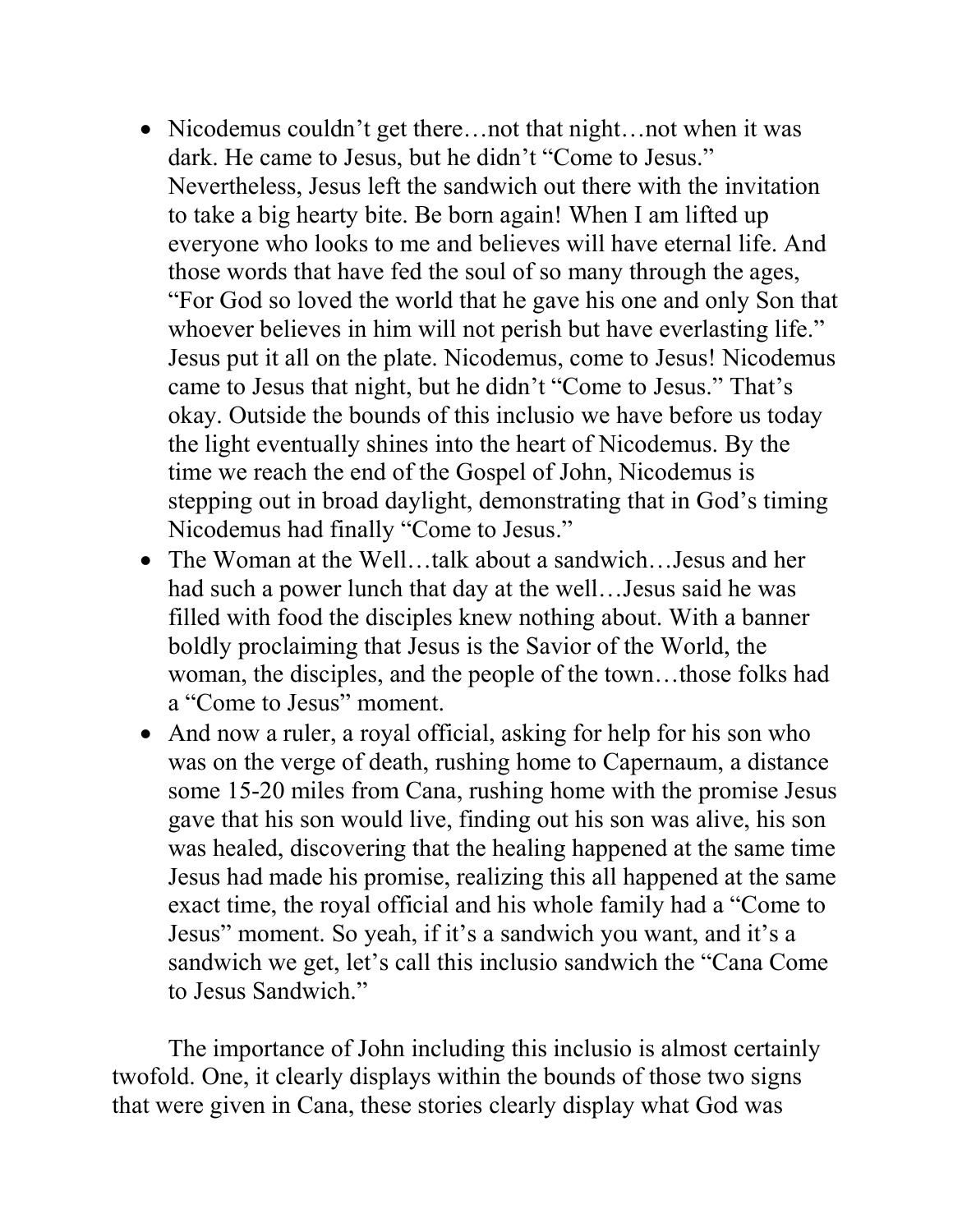- Nicodemus couldn't get there...not that night...not when it was dark. He came to Jesus, but he didn't "Come to Jesus." Nevertheless, Jesus left the sandwich out there with the invitation to take a big hearty bite. Be born again! When I am lifted up everyone who looks to me and believes will have eternal life. And those words that have fed the soul of so many through the ages, "For God so loved the world that he gave his one and only Son that whoever believes in him will not perish but have everlasting life." Jesus put it all on the plate. Nicodemus, come to Jesus! Nicodemus came to Jesus that night, but he didn't "Come to Jesus." That's okay. Outside the bounds of this inclusio we have before us today the light eventually shines into the heart of Nicodemus. By the time we reach the end of the Gospel of John, Nicodemus is stepping out in broad daylight, demonstrating that in God's timing Nicodemus had finally "Come to Jesus."
- The Woman at the Well...talk about a sandwich...Jesus and her had such a power lunch that day at the well…Jesus said he was filled with food the disciples knew nothing about. With a banner boldly proclaiming that Jesus is the Savior of the World, the woman, the disciples, and the people of the town…those folks had a "Come to Jesus" moment.
- And now a ruler, a royal official, asking for help for his son who was on the verge of death, rushing home to Capernaum, a distance some 15-20 miles from Cana, rushing home with the promise Jesus gave that his son would live, finding out his son was alive, his son was healed, discovering that the healing happened at the same time Jesus had made his promise, realizing this all happened at the same exact time, the royal official and his whole family had a "Come to Jesus" moment. So yeah, if it's a sandwich you want, and it's a sandwich we get, let's call this inclusio sandwich the "Cana Come to Jesus Sandwich."

The importance of John including this inclusio is almost certainly twofold. One, it clearly displays within the bounds of those two signs that were given in Cana, these stories clearly display what God was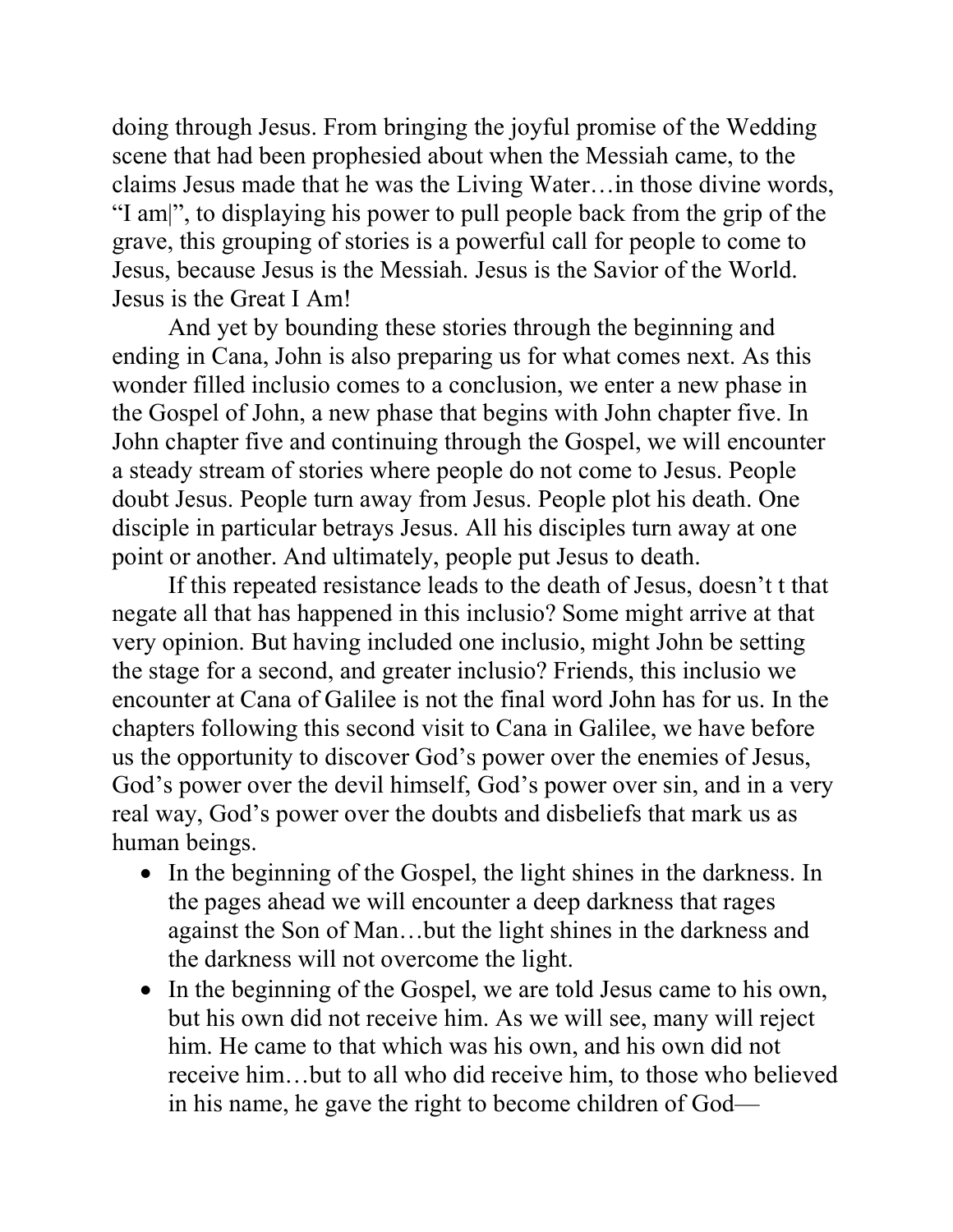doing through Jesus. From bringing the joyful promise of the Wedding scene that had been prophesied about when the Messiah came, to the claims Jesus made that he was the Living Water…in those divine words, "I am|", to displaying his power to pull people back from the grip of the grave, this grouping of stories is a powerful call for people to come to Jesus, because Jesus is the Messiah. Jesus is the Savior of the World. Jesus is the Great I Am!

And yet by bounding these stories through the beginning and ending in Cana, John is also preparing us for what comes next. As this wonder filled inclusio comes to a conclusion, we enter a new phase in the Gospel of John, a new phase that begins with John chapter five. In John chapter five and continuing through the Gospel, we will encounter a steady stream of stories where people do not come to Jesus. People doubt Jesus. People turn away from Jesus. People plot his death. One disciple in particular betrays Jesus. All his disciples turn away at one point or another. And ultimately, people put Jesus to death.

If this repeated resistance leads to the death of Jesus, doesn't t that negate all that has happened in this inclusio? Some might arrive at that very opinion. But having included one inclusio, might John be setting the stage for a second, and greater inclusio? Friends, this inclusio we encounter at Cana of Galilee is not the final word John has for us. In the chapters following this second visit to Cana in Galilee, we have before us the opportunity to discover God's power over the enemies of Jesus, God's power over the devil himself, God's power over sin, and in a very real way, God's power over the doubts and disbeliefs that mark us as human beings.

- In the beginning of the Gospel, the light shines in the darkness. In the pages ahead we will encounter a deep darkness that rages against the Son of Man…but the light shines in the darkness and the darkness will not overcome the light.
- In the beginning of the Gospel, we are told Jesus came to his own, but his own did not receive him. As we will see, many will reject him. He came to that which was his own, and his own did not receive him…but to all who did receive him, to those who believed in his name, he gave the right to become children of God—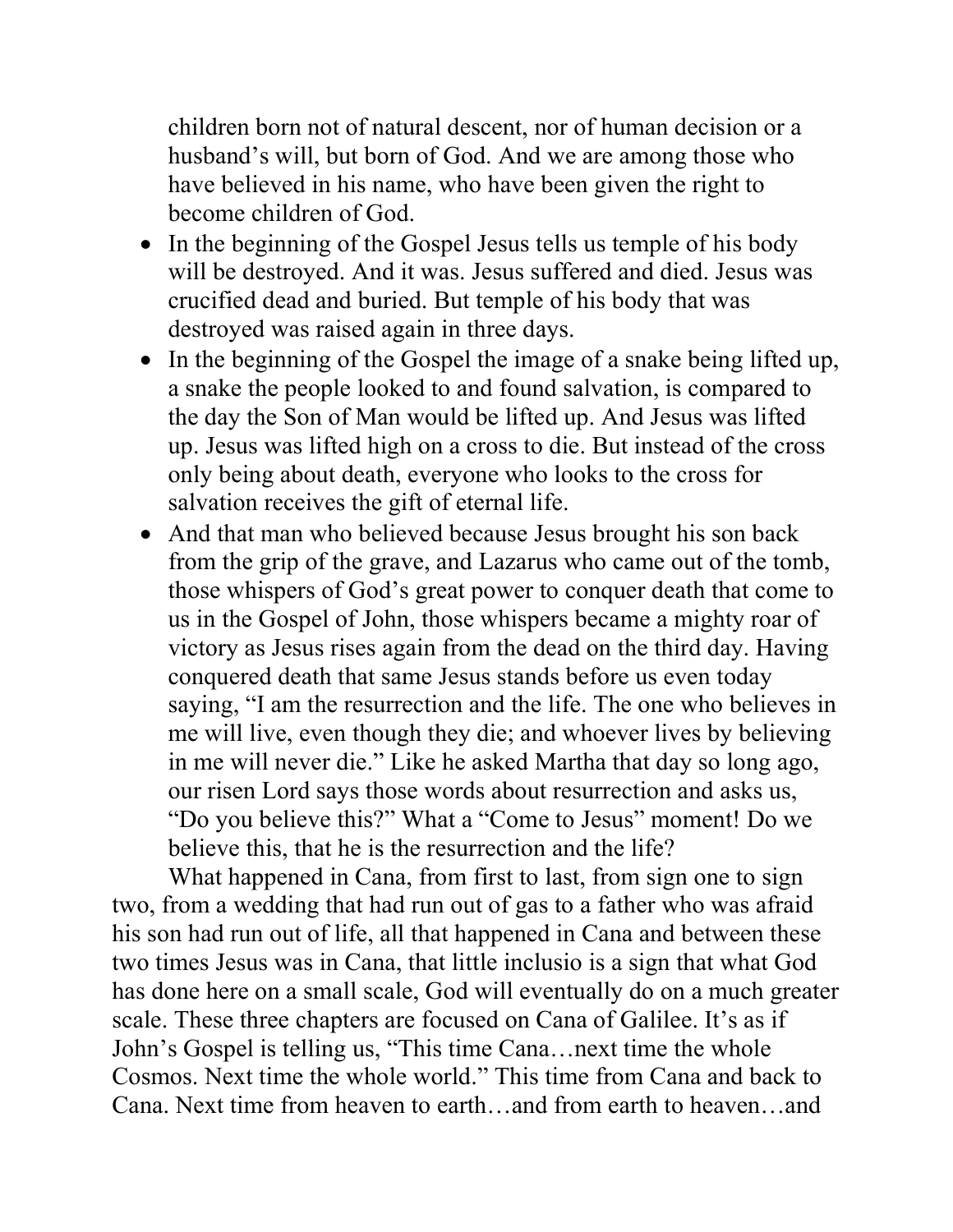children born not of natural descent, nor of human decision or a husband's will, but born of God. And we are among those who have believed in his name, who have been given the right to become children of God.

- In the beginning of the Gospel Jesus tells us temple of his body will be destroyed. And it was. Jesus suffered and died. Jesus was crucified dead and buried. But temple of his body that was destroyed was raised again in three days.
- In the beginning of the Gospel the image of a snake being lifted up, a snake the people looked to and found salvation, is compared to the day the Son of Man would be lifted up. And Jesus was lifted up. Jesus was lifted high on a cross to die. But instead of the cross only being about death, everyone who looks to the cross for salvation receives the gift of eternal life.
- And that man who believed because Jesus brought his son back from the grip of the grave, and Lazarus who came out of the tomb, those whispers of God's great power to conquer death that come to us in the Gospel of John, those whispers became a mighty roar of victory as Jesus rises again from the dead on the third day. Having conquered death that same Jesus stands before us even today saying, "I am the resurrection and the life. The one who believes in me will live, even though they die; and whoever lives by believing in me will never die." Like he asked Martha that day so long ago, our risen Lord says those words about resurrection and asks us, "Do you believe this?" What a "Come to Jesus" moment! Do we believe this, that he is the resurrection and the life?

What happened in Cana, from first to last, from sign one to sign two, from a wedding that had run out of gas to a father who was afraid his son had run out of life, all that happened in Cana and between these two times Jesus was in Cana, that little inclusio is a sign that what God has done here on a small scale, God will eventually do on a much greater scale. These three chapters are focused on Cana of Galilee. It's as if John's Gospel is telling us, "This time Cana…next time the whole Cosmos. Next time the whole world." This time from Cana and back to Cana. Next time from heaven to earth…and from earth to heaven…and